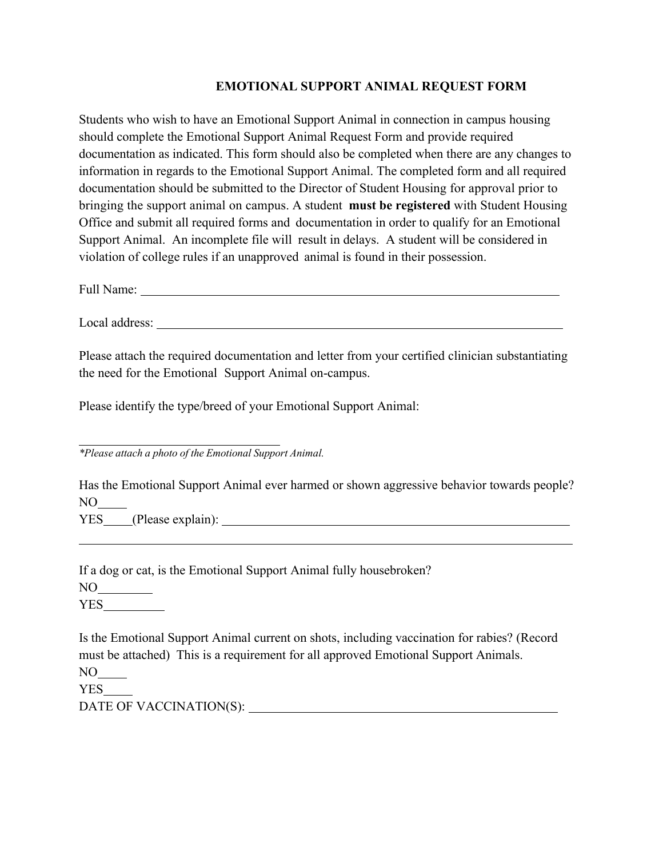## **EMOTIONAL SUPPORT ANIMAL REQUEST FORM**

Students who wish to have an Emotional Support Animal in connection in campus housing should complete the Emotional Support Animal Request Form and provide required documentation as indicated. This form should also be completed when there are any changes to information in regards to the Emotional Support Animal. The completed form and all required documentation should be submitted to the Director of Student Housing for approval prior to bringing the support animal on campus. A student **must be registered** with Student Housing Office and submit all required forms and documentation in order to qualify for an Emotional Support Animal. An incomplete file will result in delays. A student will be considered in violation of college rules if an unapproved animal is found in their possession.

Full Name:

Local address:  $\blacksquare$ 

Please attach the required documentation and letter from your certified clinician substantiating the need for the Emotional Support Animal on-campus.

Please identify the type/breed of your Emotional Support Animal:

*\*Please attach a photo of the Emotional Support Animal.*

Has the Emotional Support Animal ever harmed or shown aggressive behavior towards people? NO YES (Please explain):

If a dog or cat, is the Emotional Support Animal fully housebroken?  $NO$ <sub>----</sub>

**YES** 

Is the Emotional Support Animal current on shots, including vaccination for rabies? (Record must be attached) This is a requirement for all approved Emotional Support Animals.

 $NO$ <sub>--</sub>

YES

DATE OF VACCINATION(S):